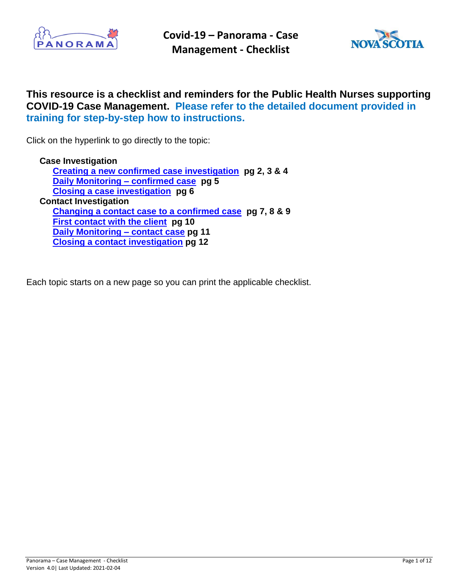



# **This resource is a checklist and reminders for the Public Health Nurses supporting COVID-19 Case Management. Please refer to the detailed document provided in training for step-by-step how to instructions.**

Click on the hyperlink to go directly to the topic:

**Case Investigation [Creating a new confirmed case investigation](#page-1-0) pg 2, 3 & 4 [Daily Monitoring](#page-4-0) – confirmed case pg 5 [Closing a case investigation](#page-5-0) pg 6 Contact Investigation Changing [a contact case to a confirmed case](#page-6-0) pg 7, 8 & 9 [First contact with the client](#page-9-0) pg 10 [Daily Monitoring](#page-10-0) – contact case pg 11 [Closing a contact investigation](#page-11-0) pg 12**

Each topic starts on a new page so you can print the applicable checklist.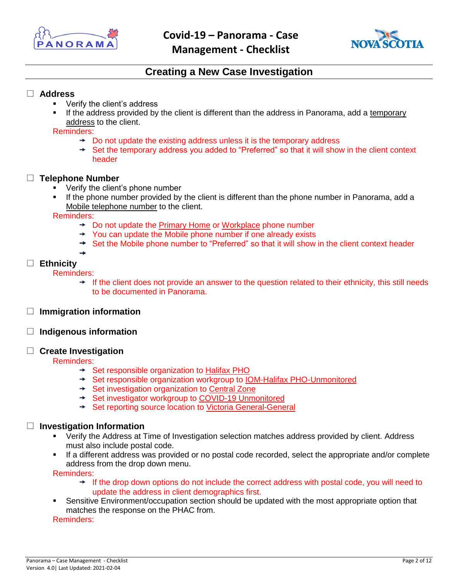



**Management - Checklist**

# **Creating a New Case Investigation**

## <span id="page-1-0"></span>**Address**

- Verify the client's address
- If the address provided by the client is different than the address in Panorama, add a temporary address to the client.

Reminders:

- $\rightarrow$  Do not update the existing address unless it is the temporary address
- → Set the temporary address you added to "Preferred" so that it will show in the client context header

## **Telephone Number**

- Verify the client's phone number
- If the phone number provided by the client is different than the phone number in Panorama, add a Mobile telephone number to the client.

Reminders:

- $\rightarrow$  Do not update the Primary Home or Workplace phone number
- $\rightarrow$  You can update the Mobile phone number if one already exists
- → Set the Mobile phone number to "Preferred" so that it will show in the client context header

## **Ethnicity**

Reminders:

 $\rightarrow$  If the client does not provide an answer to the question related to their ethnicity, this still needs to be documented in Panorama.

## **Immigration information**

 $\rightarrow$ 

#### **Indigenous information**  $\Box$

## **Create Investigation**

Reminders:

- → Set responsible organization to Halifax PHO
- → Set responsible organization workgroup to IOM-Halifax PHO-Unmonitored
- → Set investigation organization to Central Zone
- → Set investigator workgroup to COVID-19 Unmonitored
- → Set reporting source location to Victoria General-General

## **Investigation Information**

- Verify the Address at Time of Investigation selection matches address provided by client. Address must also include postal code.
- If a different address was provided or no postal code recorded, select the appropriate and/or complete address from the drop down menu.

Reminders:

- If the drop down options do not include the correct address with postal code, you will need to update the address in client demographics first.
- Sensitive Environment/occupation section should be updated with the most appropriate option that matches the response on the PHAC from.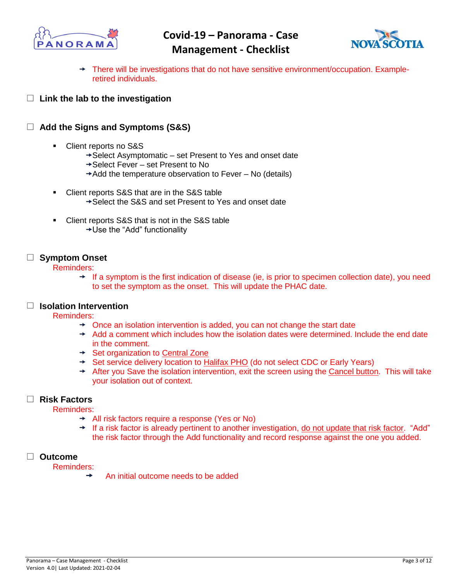



- $\rightarrow$  There will be investigations that do not have sensitive environment/occupation. Exampleretired individuals.
- **Link the lab to the investigation**

## **Add the Signs and Symptoms (S&S)**

- Client reports no S&S
	- $\rightarrow$  Select Asymptomatic set Present to Yes and onset date
	- Select Fever set Present to No
	- $\rightarrow$  Add the temperature observation to Fever No (details)
- Client reports S&S that are in the S&S table **→ Select the S&S and set Present to Yes and onset date**
- Client reports S&S that is not in the S&S table Use the "Add" functionality

## **Symptom Onset**

Reminders:

If a symptom is the first indication of disease (ie, is prior to specimen collection date), you need to set the symptom as the onset. This will update the PHAC date.

#### **Isolation Intervention**

Reminders:

- $\rightarrow$  Once an isolation intervention is added, you can not change the start date
- $\rightarrow$  Add a comment which includes how the isolation dates were determined. Include the end date in the comment.
- **→** Set organization to Central Zone
- Set service delivery location to Halifax PHO (do not select CDC or Early Years)
- $\rightarrow$  After you Save the isolation intervention, exit the screen using the Cancel button. This will take your isolation out of context.

#### **Risk Factors**

Reminders:

- All risk factors require a response (Yes or No)
- $\rightarrow$  If a risk factor is already pertinent to another investigation, do not update that risk factor. "Add" the risk factor through the Add functionality and record response against the one you added.

## **Outcome**

Reminders:

An initial outcome needs to be added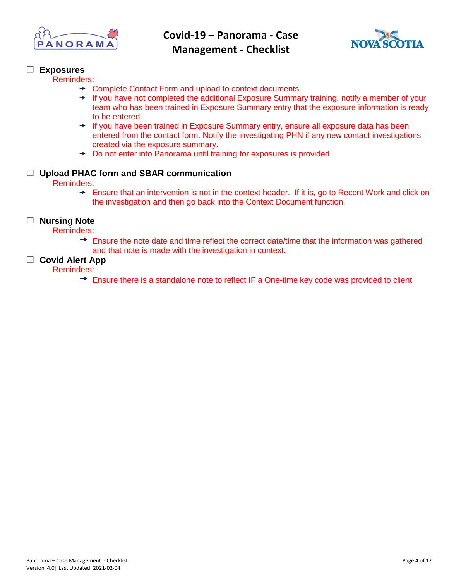



## **Exposures**

Reminders:

- → Complete Contact Form and upload to context documents.
- $\rightarrow$  If you have not completed the additional Exposure Summary training, notify a member of your team who has been trained in Exposure Summary entry that the exposure information is ready to be entered.
- → If you have been trained in Exposure Summary entry, ensure all exposure data has been entered from the contact form. Notify the investigating PHN if any new contact investigations created via the exposure summary.
- $\rightarrow$  Do not enter into Panorama until training for exposures is provided

#### **Upload PHAC form and SBAR communication**

Reminders:

 $\rightarrow$  Ensure that an intervention is not in the context header. If it is, go to Recent Work and click on the investigation and then go back into the Context Document function.

## **Nursing Note**

Reminders:

 $\rightarrow$  Ensure the note date and time reflect the correct date/time that the information was gathered and that note is made with the investigation in context.

## **Covid Alert App**

Reminders:

 $\rightarrow$  Ensure there is a standalone note to reflect IF a One-time key code was provided to client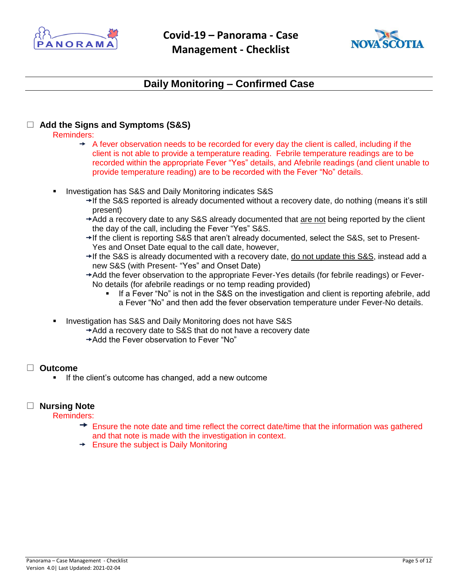



# **Daily Monitoring – Confirmed Case**

## <span id="page-4-0"></span>**Add the Signs and Symptoms (S&S)**

Reminders:

- $\rightarrow$  A fever observation needs to be recorded for every day the client is called, including if the client is not able to provide a temperature reading. Febrile temperature readings are to be recorded within the appropriate Fever "Yes" details, and Afebrile readings (and client unable to provide temperature reading) are to be recorded with the Fever "No" details.
- Investigation has S&S and Daily Monitoring indicates S&S
	- $\rightarrow$  If the S&S reported is already documented without a recovery date, do nothing (means it's still present)
	- $\rightarrow$  Add a recovery date to any S&S already documented that are not being reported by the client the day of the call, including the Fever "Yes" S&S.
	- $\rightarrow$  If the client is reporting S&S that aren't already documented, select the S&S, set to Present-Yes and Onset Date equal to the call date, however,
	- $\rightarrow$  If the S&S is already documented with a recovery date, do not update this S&S, instead add a new S&S (with Present- "Yes" and Onset Date)
	- Add the fever observation to the appropriate Fever-Yes details (for febrile readings) or Fever-No details (for afebrile readings or no temp reading provided)
		- If a Fever "No" is not in the S&S on the investigation and client is reporting afebrile, add a Fever "No" and then add the fever observation temperature under Fever-No details.
- Investigation has S&S and Daily Monitoring does not have S&S
	- $\rightarrow$  Add a recovery date to S&S that do not have a recovery date
	- Add the Fever observation to Fever "No"

## **Outcome**

If the client's outcome has changed, add a new outcome

## **Nursing Note**

- $\rightarrow$  Ensure the note date and time reflect the correct date/time that the information was gathered and that note is made with the investigation in context.
- $\rightarrow$  Ensure the subject is Daily Monitoring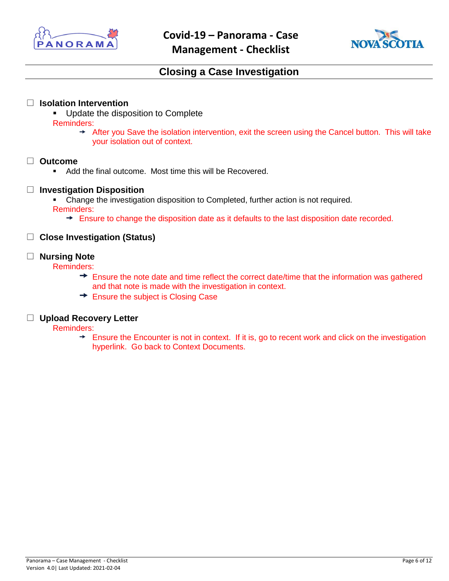



# **Closing a Case Investigation**

## <span id="page-5-0"></span>**Isolation Intervention**

- **Update the disposition to Complete** Reminders:
	- After you Save the isolation intervention, exit the screen using the Cancel button. This will take your isolation out of context.

#### $\Box$ **Outcome**

Add the final outcome. Most time this will be Recovered.

#### **Investigation Disposition**

 Change the investigation disposition to Completed, further action is not required. Reminders:

 $\rightarrow$  Ensure to change the disposition date as it defaults to the last disposition date recorded.

#### **Close Investigation (Status)**

## **Nursing Note**

Reminders:

- $\rightarrow$  Ensure the note date and time reflect the correct date/time that the information was gathered and that note is made with the investigation in context.
- $\rightarrow$  Ensure the subject is Closing Case

## **Upload Recovery Letter**

Reminders:

 $\rightarrow$  Ensure the Encounter is not in context. If it is, go to recent work and click on the investigation hyperlink. Go back to Context Documents.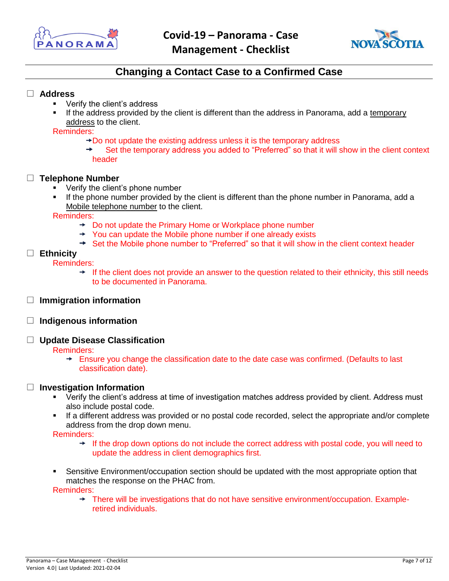



**Management - Checklist**

# **Changing a Contact Case to a Confirmed Case**

## <span id="page-6-0"></span>**Address**

- Verify the client's address
- If the address provided by the client is different than the address in Panorama, add a temporary address to the client.

Reminders:

- $\rightarrow$  Do not update the existing address unless it is the temporary address
- Set the temporary address you added to "Preferred" so that it will show in the client context  $\rightarrow$ header

## **Telephone Number**

- Verify the client's phone number
- If the phone number provided by the client is different than the phone number in Panorama, add a Mobile telephone number to the client.

Reminders:

- $\rightarrow$  Do not update the Primary Home or Workplace phone number
- $\rightarrow$  You can update the Mobile phone number if one already exists
- → Set the Mobile phone number to "Preferred" so that it will show in the client context header

## **Ethnicity**

Reminders:

- $\rightarrow$  If the client does not provide an answer to the question related to their ethnicity, this still needs to be documented in Panorama.
- **Immigration information**
- $\Box$ **Indigenous information**

#### $\Box$ **Update Disease Classification**

Reminders:

Ensure you change the classification date to the date case was confirmed. (Defaults to last classification date).

## **Investigation Information**

- Verify the client's address at time of investigation matches address provided by client. Address must also include postal code.
- If a different address was provided or no postal code recorded, select the appropriate and/or complete address from the drop down menu.

Reminders:

- $\rightarrow$  If the drop down options do not include the correct address with postal code, you will need to update the address in client demographics first.
- Sensitive Environment/occupation section should be updated with the most appropriate option that matches the response on the PHAC from.

Reminders:

 $\rightarrow$  There will be investigations that do not have sensitive environment/occupation. Exampleretired individuals.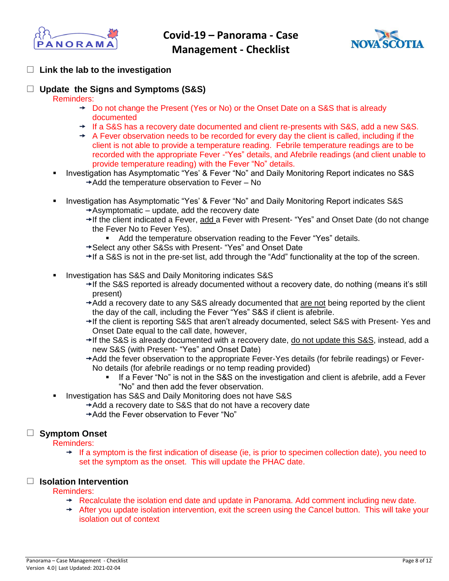



**Link the lab to the investigation**

## **Update the Signs and Symptoms (S&S)**

Reminders:

- $\rightarrow$  Do not change the Present (Yes or No) or the Onset Date on a S&S that is already documented
- → If a S&S has a recovery date documented and client re-presents with S&S, add a new S&S.
- $\rightarrow$  A Fever observation needs to be recorded for every day the client is called, including if the client is not able to provide a temperature reading. Febrile temperature readings are to be recorded with the appropriate Fever -"Yes" details, and Afebrile readings (and client unable to provide temperature reading) with the Fever "No" details.
- Investigation has Asymptomatic "Yes' & Fever "No" and Daily Monitoring Report indicates no S&S  $\rightarrow$  Add the temperature observation to Fever – No
- Investigation has Asymptomatic "Yes' & Fever "No" and Daily Monitoring Report indicates S&S
	- $\rightarrow$  Asymptomatic update, add the recovery date
	- If the client indicated a Fever, add a Fever with Present- "Yes" and Onset Date (do not change the Fever No to Fever Yes).
		- Add the temperature observation reading to the Fever "Yes" details.
	- Select any other S&Ss with Present- "Yes" and Onset Date
	- $\rightarrow$  If a S&S is not in the pre-set list, add through the "Add" functionality at the top of the screen.
- Investigation has S&S and Daily Monitoring indicates S&S
	- $\rightarrow$  If the S&S reported is already documented without a recovery date, do nothing (means it's still present)
	- $\rightarrow$  Add a recovery date to any S&S already documented that are not being reported by the client the day of the call, including the Fever "Yes" S&S if client is afebrile.
	- If the client is reporting S&S that aren't already documented, select S&S with Present- Yes and Onset Date equal to the call date, however,
	- → If the S&S is already documented with a recovery date, do not update this S&S, instead, add a new S&S (with Present- "Yes" and Onset Date)
	- Add the fever observation to the appropriate Fever-Yes details (for febrile readings) or Fever-No details (for afebrile readings or no temp reading provided)
		- If a Fever "No" is not in the S&S on the investigation and client is afebrile, add a Fever "No" and then add the fever observation.
- Investigation has S&S and Daily Monitoring does not have S&S
	- $\rightarrow$  Add a recovery date to S&S that do not have a recovery date
		- Add the Fever observation to Fever "No"

## **Symptom Onset**

Reminders:

 $\rightarrow$  If a symptom is the first indication of disease (ie, is prior to specimen collection date), you need to set the symptom as the onset. This will update the PHAC date.

## **Isolation Intervention**

- $\rightarrow$  Recalculate the isolation end date and update in Panorama. Add comment including new date.
- $\rightarrow$  After you update isolation intervention, exit the screen using the Cancel button. This will take your isolation out of context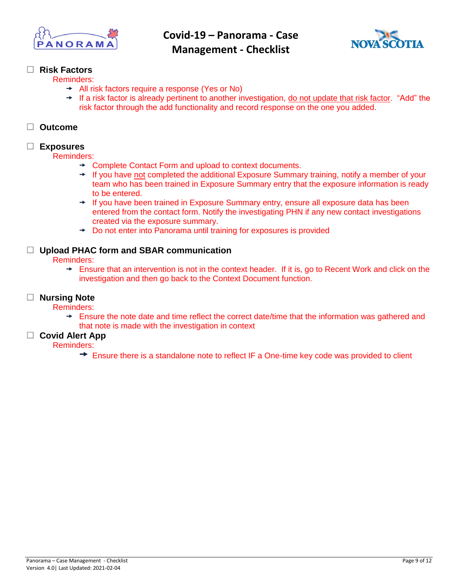



## **Risk Factors**

#### Reminders:

- All risk factors require a response (Yes or No)
- $\rightarrow$  If a risk factor is already pertinent to another investigation, do not update that risk factor. "Add" the risk factor through the add functionality and record response on the one you added.

## **Outcome**

## **Exposures**

Reminders:

- → Complete Contact Form and upload to context documents.
- $\rightarrow$  If you have not completed the additional Exposure Summary training, notify a member of your team who has been trained in Exposure Summary entry that the exposure information is ready to be entered.
- $\rightarrow$  If you have been trained in Exposure Summary entry, ensure all exposure data has been entered from the contact form. Notify the investigating PHN if any new contact investigations created via the exposure summary.
- $\rightarrow$  Do not enter into Panorama until training for exposures is provided

## **Upload PHAC form and SBAR communication**

Reminders:

 $\rightarrow$  Ensure that an intervention is not in the context header. If it is, go to Recent Work and click on the investigation and then go back to the Context Document function.

## **Nursing Note**

Reminders:

 $\rightarrow$  Ensure the note date and time reflect the correct date/time that the information was gathered and that note is made with the investigation in context

## **Covid Alert App**

Reminders:

 $\rightarrow$  Ensure there is a standalone note to reflect IF a One-time key code was provided to client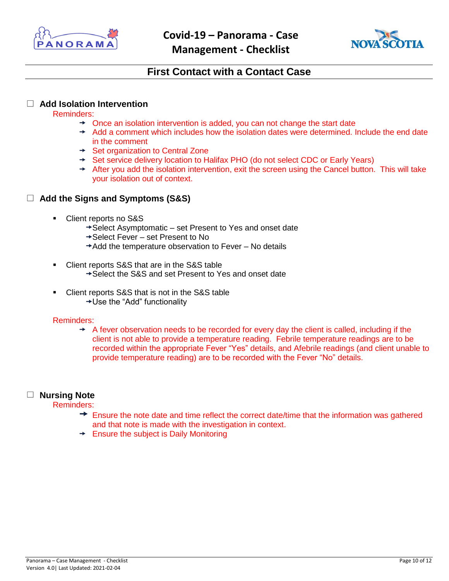



# **First Contact with a Contact Case**

#### <span id="page-9-0"></span>**Add Isolation Intervention**

Reminders:

- $\rightarrow$  Once an isolation intervention is added, you can not change the start date
- $\rightarrow$  Add a comment which includes how the isolation dates were determined. Include the end date in the comment
- **→ Set organization to Central Zone**
- → Set service delivery location to Halifax PHO (do not select CDC or Early Years)
- After you add the isolation intervention, exit the screen using the Cancel button. This will take your isolation out of context.

#### **Add the Signs and Symptoms (S&S)**

- Client reports no S&S
	- $\rightarrow$  Select Asymptomatic set Present to Yes and onset date
	- **→ Select Fever set Present to No**
	- $\rightarrow$  Add the temperature observation to Fever No details
- Client reports S&S that are in the S&S table **→ Select the S&S and set Present to Yes and onset date**
- Client reports S&S that is not in the S&S table
	- Use the "Add" functionality

#### Reminders:

 $\rightarrow$  A fever observation needs to be recorded for every day the client is called, including if the client is not able to provide a temperature reading. Febrile temperature readings are to be recorded within the appropriate Fever "Yes" details, and Afebrile readings (and client unable to provide temperature reading) are to be recorded with the Fever "No" details.

## **Nursing Note**

- $\rightarrow$  Ensure the note date and time reflect the correct date/time that the information was gathered and that note is made with the investigation in context.
- $\rightarrow$  Ensure the subject is Daily Monitoring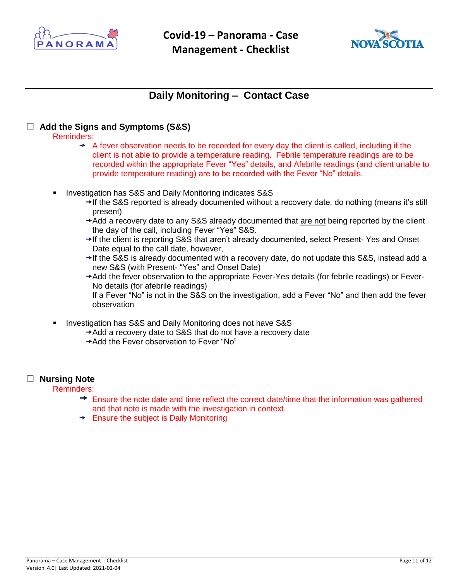



# **Daily Monitoring – Contact Case**

## <span id="page-10-0"></span>**Add the Signs and Symptoms (S&S)**

observation

## Reminders:

- $\rightarrow$  A fever observation needs to be recorded for every day the client is called, including if the client is not able to provide a temperature reading. Febrile temperature readings are to be recorded within the appropriate Fever "Yes" details, and Afebrile readings (and client unable to provide temperature reading) are to be recorded with the Fever "No" details.
- Investigation has S&S and Daily Monitoring indicates S&S
	- $\rightarrow$  If the S&S reported is already documented without a recovery date, do nothing (means it's still present)
	- Add a recovery date to any S&S already documented that are not being reported by the client the day of the call, including Fever "Yes" S&S.
	- → If the client is reporting S&S that aren't already documented, select Present- Yes and Onset Date equal to the call date, however,
	- → If the S&S is already documented with a recovery date, do not update this S&S, instead add a new S&S (with Present- "Yes" and Onset Date)
	- Add the fever observation to the appropriate Fever-Yes details (for febrile readings) or Fever-No details (for afebrile readings) If a Fever "No" is not in the S&S on the investigation, add a Fever "No" and then add the fever
- Investigation has S&S and Daily Monitoring does not have S&S
	- $\rightarrow$  Add a recovery date to S&S that do not have a recovery date
	- Add the Fever observation to Fever "No"

## **Nursing Note**

- $\rightarrow$  Ensure the note date and time reflect the correct date/time that the information was gathered and that note is made with the investigation in context.
- $\rightarrow$  Ensure the subject is Daily Monitoring